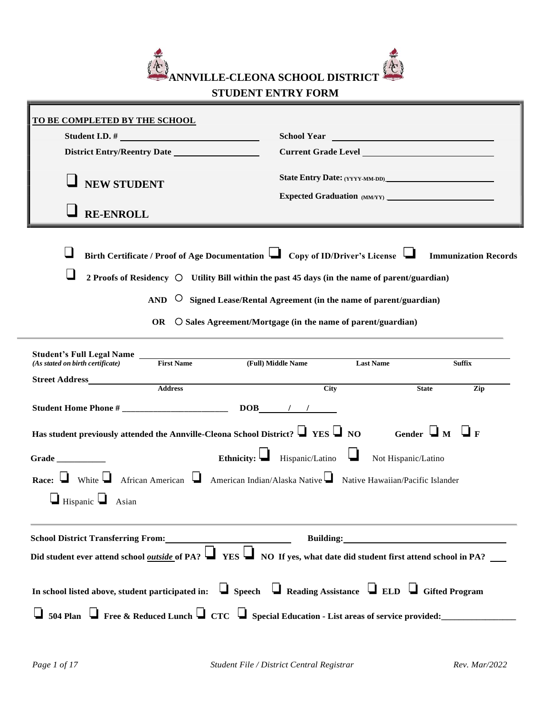

# **STUDENT ENTRY FORM**

| <u>TO BE COMPLETED BY THE SCHOOL</u>                                                                                                                                                                                              |                                                                                                                                                                                                                                                                                                                                                                                 |  |  |  |  |
|-----------------------------------------------------------------------------------------------------------------------------------------------------------------------------------------------------------------------------------|---------------------------------------------------------------------------------------------------------------------------------------------------------------------------------------------------------------------------------------------------------------------------------------------------------------------------------------------------------------------------------|--|--|--|--|
|                                                                                                                                                                                                                                   |                                                                                                                                                                                                                                                                                                                                                                                 |  |  |  |  |
|                                                                                                                                                                                                                                   |                                                                                                                                                                                                                                                                                                                                                                                 |  |  |  |  |
| <b>NEW STUDENT</b><br><b>RE-ENROLL</b>                                                                                                                                                                                            | State Entry Date: (YYYY-MM-DD)<br>Expected Graduation (MM/YY)                                                                                                                                                                                                                                                                                                                   |  |  |  |  |
|                                                                                                                                                                                                                                   | Birth Certificate / Proof of Age Documentation $\Box$ Copy of ID/Driver's License $\Box$ Immunization Records<br>2 Proofs of Residency $\bigcirc$ Utility Bill within the past 45 days (in the name of parent/guardian)<br>AND $\circ$ Signed Lease/Rental Agreement (in the name of parent/guardian)<br>OR $\circ$ C Sales Agreement/Mortgage (in the name of parent/guardian) |  |  |  |  |
| <b>Student's Full Legal Name</b><br>First Name <b>First Name</b>                                                                                                                                                                  | (Full) Middle Name<br><b>Last Name</b><br><b>Suffix</b>                                                                                                                                                                                                                                                                                                                         |  |  |  |  |
| Street Address Address                                                                                                                                                                                                            |                                                                                                                                                                                                                                                                                                                                                                                 |  |  |  |  |
|                                                                                                                                                                                                                                   | City<br>Zip<br><b>State</b>                                                                                                                                                                                                                                                                                                                                                     |  |  |  |  |
|                                                                                                                                                                                                                                   |                                                                                                                                                                                                                                                                                                                                                                                 |  |  |  |  |
| Has student previously attended the Annville-Cleona School District? $\Box$ YES $\Box$ NO<br>Grade<br>Race: White African American American Indian/Alaska Native Native Hawaiian/Pacific Islander<br>$\Box$ Hispanic $\Box$ Asian | Gender $\Box_M$ $\Box_F$<br>Ethnicity: $\Box$ Hispanic/Latino<br>Not Hispanic/Latino                                                                                                                                                                                                                                                                                            |  |  |  |  |
| <b>School District Transferring From:</b>                                                                                                                                                                                         | Did student ever attend school <u>outside of</u> PA? $\Box$ YES $\Box$ NO If yes, what date did student first attend school in PA?                                                                                                                                                                                                                                              |  |  |  |  |
| In school listed above, student participated in: $\Box$ Speech $\Box$ Reading Assistance $\Box$ ELD $\Box$ Gifted Program                                                                                                         | $\Box$ 504 Plan $\Box$ Free & Reduced Lunch $\Box$ CTC $\Box$ Special Education - List areas of service provided:                                                                                                                                                                                                                                                               |  |  |  |  |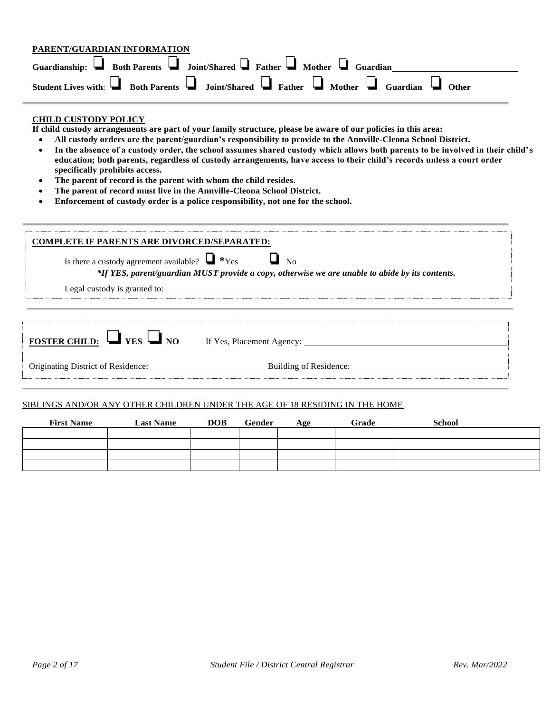| PARENT/GUARDIAN INFORMATION |                                                                                                                      |
|-----------------------------|----------------------------------------------------------------------------------------------------------------------|
|                             | Guardianship: $\Box$ Both Parents $\Box$ Joint/Shared $\Box$ Father $\Box$ Mother $\Box$ Guardian                    |
|                             | Student Lives with: $\Box$ Both Parents $\Box$ Joint/Shared $\Box$ Father $\Box$ Mother $\Box$ Guardian $\Box$ Other |

#### **CHILD CUSTODY POLICY**

**If child custody arrangements are part of your family structure, please be aware of our policies in this area:**

- **All custody orders are the parent/guardian's responsibility to provide to the Annville-Cleona School District.** • **In the absence of a custody order, the school assumes shared custody which allows both parents to be involved in their child's**
- **education; both parents, regardless of custody arrangements, have access to their child's records unless a court order specifically prohibits access.**
- **The parent of record is the parent with whom the child resides.**
- **The parent of record must live in the Annville-Cleona School District.**
- **Enforcement of custody order is a police responsibility, not one for the school.**

| <b>COMPLETE IF PARENTS ARE DIVORCED/SEPARATED:</b><br>Is there a custody agreement available? $\Box$ *Yes $\Box$ No | *If YES, parent/guardian MUST provide a copy, otherwise we are unable to abide by its contents. |
|---------------------------------------------------------------------------------------------------------------------|-------------------------------------------------------------------------------------------------|
|                                                                                                                     | Legal custody is granted to:                                                                    |
|                                                                                                                     |                                                                                                 |
|                                                                                                                     | <b>FOSTER CHILD:</b> VES NO If Yes, Placement Agency:                                           |
| Originating District of Residence:                                                                                  | Building of Residence:                                                                          |

#### SIBLINGS AND/OR ANY OTHER CHILDREN UNDER THE AGE OF 18 RESIDING IN THE HOME

| <b>First Name</b> | <b>Last Name</b> | <b>DOB</b> | Gender | Age | Grade | <b>School</b> |
|-------------------|------------------|------------|--------|-----|-------|---------------|
|                   |                  |            |        |     |       |               |
|                   |                  |            |        |     |       |               |
|                   |                  |            |        |     |       |               |
|                   |                  |            |        |     |       |               |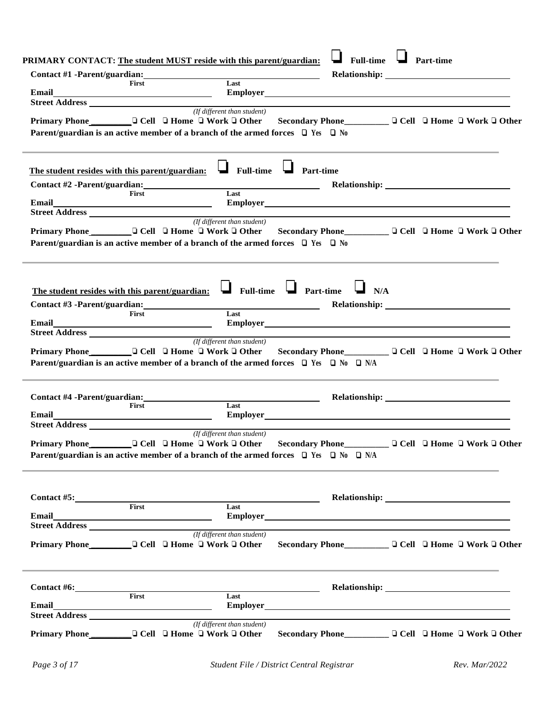|                                                                                                                                                                                        |       |                                                                 | <b>PRIMARY CONTACT:</b> The student MUST reside with this parent/guardian: <b>I</b> Full-time <b>I</b> Part-time |  |  |                                                                                                                                                                                                                                |
|----------------------------------------------------------------------------------------------------------------------------------------------------------------------------------------|-------|-----------------------------------------------------------------|------------------------------------------------------------------------------------------------------------------|--|--|--------------------------------------------------------------------------------------------------------------------------------------------------------------------------------------------------------------------------------|
| Contact #1 -Parent/guardian:<br>First Last Last                                                                                                                                        |       |                                                                 |                                                                                                                  |  |  |                                                                                                                                                                                                                                |
|                                                                                                                                                                                        |       |                                                                 |                                                                                                                  |  |  |                                                                                                                                                                                                                                |
| <b>Street Address</b> ( <i>If different than student</i> )                                                                                                                             |       |                                                                 |                                                                                                                  |  |  |                                                                                                                                                                                                                                |
| Primary Phone Coll Cell C Home C Work C Other Secondary Phone C Cell C Home C Work C Other                                                                                             |       |                                                                 |                                                                                                                  |  |  |                                                                                                                                                                                                                                |
| Parent/guardian is an active member of a branch of the armed forces $\Box$ Yes $\Box$ No                                                                                               |       |                                                                 |                                                                                                                  |  |  |                                                                                                                                                                                                                                |
|                                                                                                                                                                                        |       |                                                                 |                                                                                                                  |  |  |                                                                                                                                                                                                                                |
| The student resides with this parent/guardian: $\Box$ Full-time $\Box$ Part-time                                                                                                       |       |                                                                 |                                                                                                                  |  |  |                                                                                                                                                                                                                                |
|                                                                                                                                                                                        |       |                                                                 |                                                                                                                  |  |  | Relationship: Network of the set of the set of the set of the set of the set of the set of the set of the set of the set of the set of the set of the set of the set of the set of the set of the set of the set of the set of |
| Contact #2 -Parent/guardian:<br>First Last Last                                                                                                                                        |       |                                                                 |                                                                                                                  |  |  |                                                                                                                                                                                                                                |
|                                                                                                                                                                                        |       |                                                                 |                                                                                                                  |  |  |                                                                                                                                                                                                                                |
| <b>Street Address</b> ( <i>If different than student</i> )                                                                                                                             |       |                                                                 |                                                                                                                  |  |  |                                                                                                                                                                                                                                |
| Primary Phone Coll Cell C Home C Work C Other Secondary Phone C Cell C Home C Work C Other<br>Parent/guardian is an active member of a branch of the armed forces $\Box$ Yes $\Box$ No |       |                                                                 |                                                                                                                  |  |  |                                                                                                                                                                                                                                |
| The student resides with this parent/guardian: $\Box$ Full-time $\Box$ Part-time $\Box$ N/A                                                                                            |       |                                                                 |                                                                                                                  |  |  |                                                                                                                                                                                                                                |
|                                                                                                                                                                                        |       |                                                                 |                                                                                                                  |  |  |                                                                                                                                                                                                                                |
| Contact #3 -Parent/guardian:<br>First Last Last                                                                                                                                        |       |                                                                 |                                                                                                                  |  |  |                                                                                                                                                                                                                                |
|                                                                                                                                                                                        |       |                                                                 |                                                                                                                  |  |  |                                                                                                                                                                                                                                |
|                                                                                                                                                                                        |       |                                                                 |                                                                                                                  |  |  |                                                                                                                                                                                                                                |
|                                                                                                                                                                                        |       |                                                                 | (If different than student)                                                                                      |  |  |                                                                                                                                                                                                                                |
|                                                                                                                                                                                        |       |                                                                 |                                                                                                                  |  |  |                                                                                                                                                                                                                                |
| Primary Phone __________ Q Cell Q Home Q Work Q Other Secondary Phone ___________ Q Cell Q Home Q Work Q Other                                                                         |       |                                                                 |                                                                                                                  |  |  |                                                                                                                                                                                                                                |
| Parent/guardian is an active member of a branch of the armed forces $\Box$ Yes $\Box$ No $\Box$ N/A                                                                                    |       |                                                                 |                                                                                                                  |  |  |                                                                                                                                                                                                                                |
|                                                                                                                                                                                        |       |                                                                 |                                                                                                                  |  |  |                                                                                                                                                                                                                                |
|                                                                                                                                                                                        | First |                                                                 | Last                                                                                                             |  |  |                                                                                                                                                                                                                                |
|                                                                                                                                                                                        |       |                                                                 |                                                                                                                  |  |  |                                                                                                                                                                                                                                |
|                                                                                                                                                                                        |       |                                                                 |                                                                                                                  |  |  |                                                                                                                                                                                                                                |
| <b>Street Address</b> ( <i>If different than student</i> )                                                                                                                             |       |                                                                 |                                                                                                                  |  |  |                                                                                                                                                                                                                                |
|                                                                                                                                                                                        |       |                                                                 |                                                                                                                  |  |  |                                                                                                                                                                                                                                |
| Parent/guardian is an active member of a branch of the armed forces $\Box$ Yes $\Box$ No $\Box$ N/A                                                                                    |       |                                                                 |                                                                                                                  |  |  |                                                                                                                                                                                                                                |
|                                                                                                                                                                                        |       |                                                                 |                                                                                                                  |  |  |                                                                                                                                                                                                                                |
|                                                                                                                                                                                        |       |                                                                 |                                                                                                                  |  |  |                                                                                                                                                                                                                                |
| Contact #5: First Last                                                                                                                                                                 |       |                                                                 |                                                                                                                  |  |  |                                                                                                                                                                                                                                |
|                                                                                                                                                                                        |       |                                                                 |                                                                                                                  |  |  |                                                                                                                                                                                                                                |
|                                                                                                                                                                                        |       |                                                                 |                                                                                                                  |  |  |                                                                                                                                                                                                                                |
| Primary Phone <u>United</u> Cell □ Home □ Work □ Other                                                                                                                                 |       |                                                                 | (If different than student)                                                                                      |  |  |                                                                                                                                                                                                                                |
|                                                                                                                                                                                        |       | <u> 1980 - Johann Barn, mars an t-Amerikaansk kommunister (</u> | <u> 1980 - Johann Barbara, martin amerikan ba</u>                                                                |  |  |                                                                                                                                                                                                                                |
|                                                                                                                                                                                        | First |                                                                 | Last                                                                                                             |  |  |                                                                                                                                                                                                                                |
| Email <b>Example 2018</b>                                                                                                                                                              |       |                                                                 |                                                                                                                  |  |  |                                                                                                                                                                                                                                |
| <b>Street Address</b> ( <i>If different than student</i> )                                                                                                                             |       |                                                                 |                                                                                                                  |  |  |                                                                                                                                                                                                                                |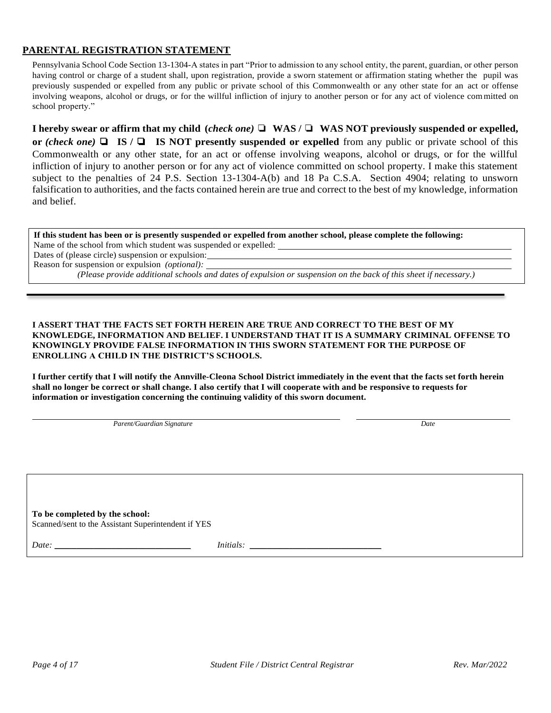### **PARENTAL REGISTRATION STATEMENT**

Pennsylvania School Code Section 13-1304-A states in part "Prior to admission to any school entity, the parent, guardian, or other person having control or charge of a student shall, upon registration, provide a sworn statement or affirmation stating whether the pupil was previously suspended or expelled from any public or private school of this Commonwealth or any other state for an act or offense involving weapons, alcohol or drugs, or for the willful infliction of injury to another person or for any act of violence committed on school property."

I hereby swear or affirm that my child (check one)  $\Box$  WAS /  $\Box$  WAS NOT previously suspended or expelled, **or** *(check one)* ❏ **IS /** ❏ **IS NOT presently suspended or expelled** from any public or private school of this Commonwealth or any other state, for an act or offense involving weapons, alcohol or drugs, or for the willful infliction of injury to another person or for any act of violence committed on school property. I make this statement subject to the penalties of 24 P.S. Section 13-1304-A(b) and 18 Pa C.S.A. Section 4904; relating to unsworn falsification to authorities, and the facts contained herein are true and correct to the best of my knowledge, information and belief.

**If this student has been or is presently suspended or expelled from another school, please complete the following:** Name of the school from which student was suspended or expelled:

Dates of (please circle) suspension or expulsion:

Reason for suspension or expulsion *(optional):*

*(Please provide additional schools and dates of expulsion or suspension on the back of this sheet if necessary.)*

#### **I ASSERT THAT THE FACTS SET FORTH HEREIN ARE TRUE AND CORRECT TO THE BEST OF MY KNOWLEDGE, INFORMATION AND BELIEF. I UNDERSTAND THAT IT IS A SUMMARY CRIMINAL OFFENSE TO KNOWINGLY PROVIDE FALSE INFORMATION IN THIS SWORN STATEMENT FOR THE PURPOSE OF ENROLLING A CHILD IN THE DISTRICT'S SCHOOLS.**

**I further certify that I will notify the Annville-Cleona School District immediately in the event that the facts set forth herein shall no longer be correct or shall change. I also certify that I will cooperate with and be responsive to requests for information or investigation concerning the continuing validity of this sworn document.**

*Parent/Guardian Signature Date*

**To be completed by the school:** Scanned/sent to the Assistant Superintendent if YES

*Date: \_\_\_\_\_\_\_\_\_\_\_\_\_\_\_\_\_\_\_\_\_\_\_\_\_\_\_\_\_\_\_ Initials: \_\_\_\_\_\_\_\_\_\_\_\_\_\_\_\_\_\_\_\_\_\_\_\_\_\_\_\_\_\_*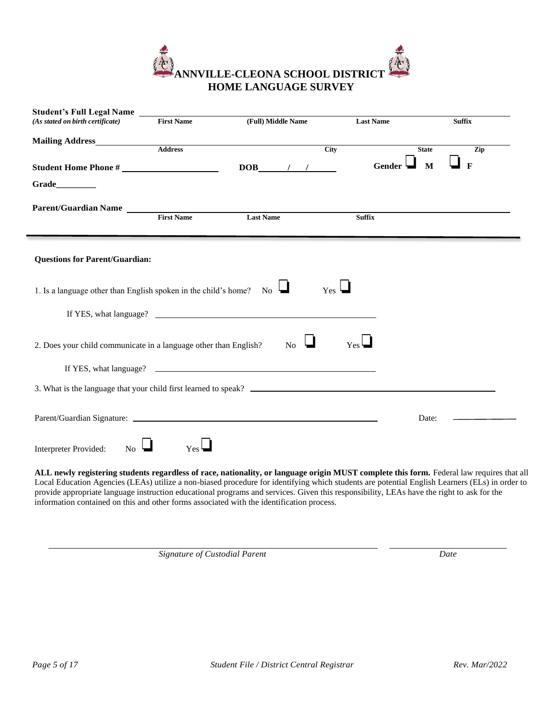

| <b>Student's Full Legal Name</b>                                          |                   |                    |                  |                     |
|---------------------------------------------------------------------------|-------------------|--------------------|------------------|---------------------|
| (As stated on birth certificate)                                          | <b>First Name</b> | (Full) Middle Name | <b>Last Name</b> | <b>Suffix</b>       |
|                                                                           | <b>Address</b>    | City               |                  | <b>State</b><br>Zip |
|                                                                           |                   | $DOB$ / /          | Gender 4         | M<br>$\mathbf{F}$   |
| Grade_________                                                            |                   |                    |                  |                     |
| Parent/Guardian Name                                                      | <b>First Name</b> | <b>Last Name</b>   | <b>Suffix</b>    |                     |
| <b>Questions for Parent/Guardian:</b>                                     |                   |                    |                  |                     |
| 1. Is a language other than English spoken in the child's home? No $\Box$ |                   |                    | $Yes \Box$       |                     |
|                                                                           |                   |                    |                  |                     |
| 2. Does your child communicate in a language other than English?          |                   | N <sub>o</sub>     | $Yes \Box$       |                     |
|                                                                           |                   |                    |                  |                     |
|                                                                           |                   |                    |                  |                     |
|                                                                           |                   |                    |                  | Date:               |
| Interpreter Provided:<br>N <sub>o</sub>                                   | Yes               |                    |                  |                     |

**ALL newly registering students regardless of race, nationality, or language origin MUST complete this form.** Federal law requires that all Local Education Agencies (LEAs) utilize a non-biased procedure for identifying which students are potential English Learners (ELs) in order to provide appropriate language instruction educational programs and services. Given this responsibility, LEAs have the right to ask for the information contained on this and other forms associated with the identification process.

*Signature of Custodial Parent Date*

f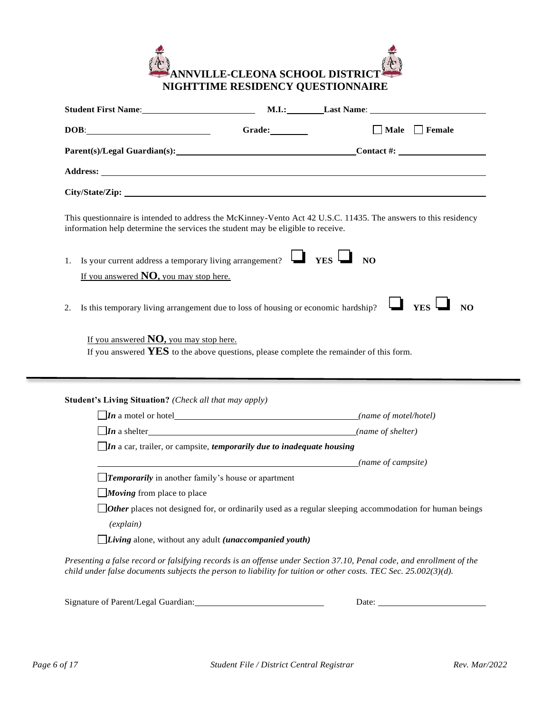

| DOB:                                                                                                  | Grade:                                                                                                               | $\Box$ Male $\Box$ Female                                                                                            |
|-------------------------------------------------------------------------------------------------------|----------------------------------------------------------------------------------------------------------------------|----------------------------------------------------------------------------------------------------------------------|
|                                                                                                       |                                                                                                                      | Parent(s)/Legal Guardian(s): Contact #:                                                                              |
|                                                                                                       |                                                                                                                      |                                                                                                                      |
|                                                                                                       |                                                                                                                      |                                                                                                                      |
| information help determine the services the student may be eligible to receive.                       |                                                                                                                      | This questionnaire is intended to address the McKinney-Vento Act 42 U.S.C. 11435. The answers to this residency      |
| 1.<br>If you answered $NO$ , you may stop here.                                                       | Is your current address a temporary living arrangement? $\Box$ YES $\Box$ NO                                         |                                                                                                                      |
|                                                                                                       |                                                                                                                      |                                                                                                                      |
|                                                                                                       | Is this temporary living arrangement due to loss of housing or economic hardship?                                    | $\Box$ Yes $\Box$<br>NQ                                                                                              |
| If you answered $NO$ , you may stop here.                                                             | If you answered $YES$ to the above questions, please complete the remainder of this form.                            |                                                                                                                      |
| 2.<br><b>Student's Living Situation?</b> (Check all that may apply)                                   |                                                                                                                      |                                                                                                                      |
|                                                                                                       | $\Box$ In a motel or hotel $\Box$ (name of motel/hotel)                                                              |                                                                                                                      |
|                                                                                                       | $\boxed{\textit{In a shelf}}$<br>$\Box$ In a car, trailer, or campsite, <i>temporarily due to inadequate housing</i> | (name of shelter)                                                                                                    |
|                                                                                                       | (name of campsite) (name of campsite)                                                                                |                                                                                                                      |
| <b>Temporarily</b> in another family's house or apartment<br>$\Box$ <i>Moving</i> from place to place |                                                                                                                      |                                                                                                                      |
| (explain)                                                                                             |                                                                                                                      | <b><i>Other</i></b> places not designed for, or ordinarily used as a regular sleeping accommodation for human beings |

| Signature of Parent/Legal Guardian: | Jate |  |
|-------------------------------------|------|--|
|                                     |      |  |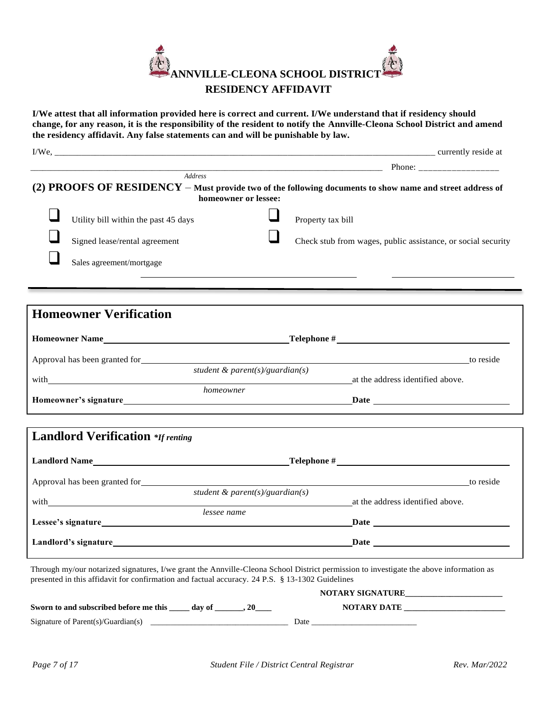

**I/We attest that all information provided here is correct and current. I/We understand that if residency should change, for any reason, it is the responsibility of the resident to notify the Annville-Cleona School District and amend the residency affidavit. Any false statements can and will be punishable by law.**

| (2) PROOFS OF RESIDENCY – Must provide two of the following documents to show name and street address of<br>homeowner or lessee:                                                                                               |
|--------------------------------------------------------------------------------------------------------------------------------------------------------------------------------------------------------------------------------|
| Property tax bill                                                                                                                                                                                                              |
| Check stub from wages, public assistance, or social security                                                                                                                                                                   |
|                                                                                                                                                                                                                                |
|                                                                                                                                                                                                                                |
|                                                                                                                                                                                                                                |
|                                                                                                                                                                                                                                |
| Approval has been granted for the contract of the contract of the contract of the contract of the contract of the contract of the contract of the contract of the contract of the contract of the contract of the contract of  |
| student & parent(s)/guardian(s)<br>with and the address identified above.                                                                                                                                                      |
| Homeowner's signature the contract of the contract of the contract of the contract of the contract of the contract of the contract of the contract of the contract of the contract of the contract of the contract of the cont |
|                                                                                                                                                                                                                                |
|                                                                                                                                                                                                                                |
| to reside<br><u> 1980 - Jan Samuel Barbara, margaret eta idazlea (h. 1980).</u>                                                                                                                                                |
| student & parent(s)/guardian(s)<br>at the address identified above.                                                                                                                                                            |
|                                                                                                                                                                                                                                |
|                                                                                                                                                                                                                                |
|                                                                                                                                                                                                                                |

|                                                  | <b>NOTARY SIGNATURE</b> |
|--------------------------------------------------|-------------------------|
| Sworn to and subscribed before me this<br>dav of | <b>NOTARY DATE</b>      |
| Signature of Parent(s)/Guardian(s)               | Date                    |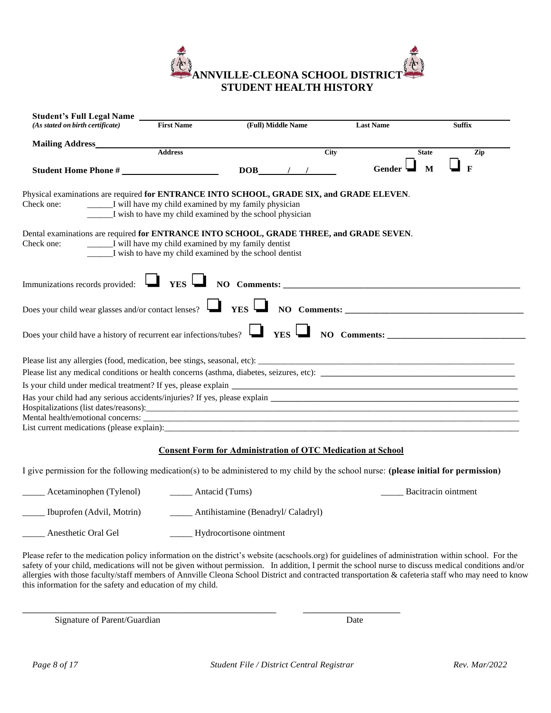

| <b>Student's Full Legal Name</b>                                                                        |                                                    |                                                                                                                                        |                  |                     |
|---------------------------------------------------------------------------------------------------------|----------------------------------------------------|----------------------------------------------------------------------------------------------------------------------------------------|------------------|---------------------|
| (As stated on birth certificate)                                                                        | <b>First Name</b>                                  | (Full) Middle Name                                                                                                                     | <b>Last Name</b> | <b>Suffix</b>       |
| <b>Mailing Address</b>                                                                                  |                                                    |                                                                                                                                        |                  |                     |
|                                                                                                         | Address                                            |                                                                                                                                        | City             | <b>State</b><br>Zip |
|                                                                                                         |                                                    | $DOB$ / /                                                                                                                              | <b>Gender</b>    | M<br>$\mathbf{F}$   |
| Physical examinations are required for ENTRANCE INTO SCHOOL, GRADE SIX, and GRADE ELEVEN.<br>Check one: |                                                    | <u>___</u> ___ I will have my child examined by my family physician<br><u>I</u> wish to have my child examined by the school physician |                  |                     |
| Dental examinations are required for ENTRANCE INTO SCHOOL, GRADE THREE, and GRADE SEVEN.<br>Check one:  | I will have my child examined by my family dentist | I wish to have my child examined by the school dentist                                                                                 |                  |                     |
|                                                                                                         |                                                    |                                                                                                                                        |                  |                     |
|                                                                                                         |                                                    |                                                                                                                                        |                  |                     |
| Does your child have a history of recurrent ear infections/tubes? $\Box$ YES $\Box$ NO Comments:        |                                                    |                                                                                                                                        |                  |                     |
|                                                                                                         |                                                    |                                                                                                                                        |                  |                     |
|                                                                                                         |                                                    |                                                                                                                                        |                  |                     |
|                                                                                                         |                                                    |                                                                                                                                        |                  |                     |
|                                                                                                         |                                                    |                                                                                                                                        |                  |                     |
|                                                                                                         |                                                    |                                                                                                                                        |                  |                     |
| List current medications (please explain):                                                              |                                                    |                                                                                                                                        |                  |                     |
|                                                                                                         |                                                    |                                                                                                                                        |                  |                     |

#### **Consent Form for Administration of OTC Medication at School**

I give permission for the following medication(s) to be administered to my child by the school nurse: **(please initial for permission)** 

| Acetaminophen (Tylenol)   | Antacid (Tums)                    | Bacitracin ointment |
|---------------------------|-----------------------------------|---------------------|
| Ibuprofen (Advil, Motrin) | Antihistamine (Benadryl/Caladryl) |                     |
| Anesthetic Oral Gel       | Hydrocortisone ointment           |                     |

\_\_\_\_\_\_\_\_\_\_\_\_\_\_\_\_\_\_\_\_\_\_\_\_\_\_\_\_\_\_\_\_\_\_\_\_\_\_\_\_\_\_\_\_\_\_\_ \_\_\_\_\_\_\_\_\_\_\_\_\_\_\_\_\_\_

Please refer to the medication policy information on the district's website (acschools.org) for guidelines of administration within school. For the safety of your child, medications will not be given without permission. In addition, I permit the school nurse to discuss medical conditions and/or allergies with those faculty/staff members of Annville Cleona School District and contracted transportation & cafeteria staff who may need to know this information for the safety and education of my child.

Signature of Parent/Guardian Date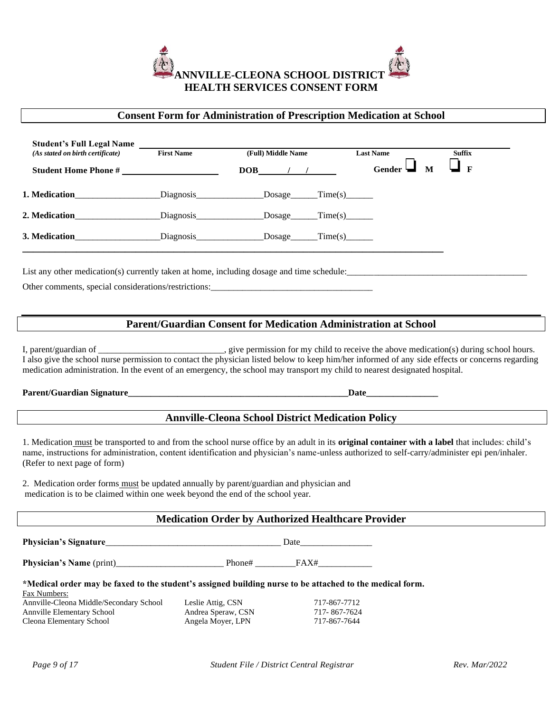

### **Consent Form for Administration of Prescription Medication at School**

| <b>Student's Full Legal Name</b><br>(As stated on birth certificate)                                                                                                                                                                                                                                                                                                                                                        | <b>First Name</b>                                                      | (Full) Middle Name                                       | <b>Last Name</b>            |              | <b>Suffix</b> |
|-----------------------------------------------------------------------------------------------------------------------------------------------------------------------------------------------------------------------------------------------------------------------------------------------------------------------------------------------------------------------------------------------------------------------------|------------------------------------------------------------------------|----------------------------------------------------------|-----------------------------|--------------|---------------|
| Student Home Phone #                                                                                                                                                                                                                                                                                                                                                                                                        |                                                                        | $DOB$ / /                                                | <b>Gender</b>               | $\mathbf{M}$ | $\mathbf{F}$  |
| 1. Medication_______________________Diagnosis________________Dosage______Time(s)_______                                                                                                                                                                                                                                                                                                                                     |                                                                        |                                                          |                             |              |               |
| 2. Medication_______________________Diagnosis________________Dosage______Time(s)_______                                                                                                                                                                                                                                                                                                                                     |                                                                        |                                                          |                             |              |               |
| <b>3. Medication</b> Diagnosis Dosage Time(s)                                                                                                                                                                                                                                                                                                                                                                               |                                                                        |                                                          |                             |              |               |
| Other comments, special considerations/restrictions:                                                                                                                                                                                                                                                                                                                                                                        |                                                                        |                                                          |                             |              |               |
|                                                                                                                                                                                                                                                                                                                                                                                                                             | <b>Parent/Guardian Consent for Medication Administration at School</b> |                                                          |                             |              |               |
| I, parent/guardian of _____________________________, give permission for my child to receive the above medication(s) during school hours.<br>I also give the school nurse permission to contact the physician listed below to keep him/her informed of any side effects or concerns regarding<br>medication administration. In the event of an emergency, the school may transport my child to nearest designated hospital. |                                                                        |                                                          |                             |              |               |
|                                                                                                                                                                                                                                                                                                                                                                                                                             |                                                                        |                                                          |                             |              |               |
|                                                                                                                                                                                                                                                                                                                                                                                                                             |                                                                        | <b>Annville-Cleona School District Medication Policy</b> |                             |              |               |
| 1. Medication must be transported to and from the school nurse office by an adult in its original container with a label that includes: child's<br>name, instructions for administration, content identification and physician's name-unless authorized to self-carry/administer epi pen/inhaler.<br>(Refer to next page of form)                                                                                           |                                                                        |                                                          |                             |              |               |
| 2. Medication order forms must be updated annually by parent/guardian and physician and<br>medication is to be claimed within one week beyond the end of the school year.                                                                                                                                                                                                                                                   |                                                                        |                                                          |                             |              |               |
|                                                                                                                                                                                                                                                                                                                                                                                                                             | .                                                                      |                                                          | $\sim$ $\sim$ $\sim$ $\sim$ |              |               |

#### **Medication Order by Authorized Healthcare Provider**

**Physician's Signature**\_\_\_\_\_\_\_\_\_\_\_\_\_\_\_\_\_\_\_\_\_\_\_\_\_\_\_\_\_\_\_\_\_\_\_\_\_\_\_ Date\_\_\_\_\_\_\_\_\_\_\_\_\_\_\_\_

**Physician's Name** (print)\_\_\_\_\_\_\_\_\_\_\_\_\_\_\_\_\_\_\_\_\_\_\_\_ Phone# \_\_\_\_\_\_\_\_\_FAX#\_\_\_\_\_\_\_\_\_\_\_\_

**\*Medical order may be faxed to the student's assigned building nurse to be attached to the medical form.**

Fax Numbers: Annville-Cleona Middle/Secondary School Leslie Attig, CSN 717-867-7712 Annville Elementary School Andrea Speraw, CSN 717-867-7624<br>Cleona Elementary School Angela Moyer, LPN 717-867-7644 Cleona Elementary School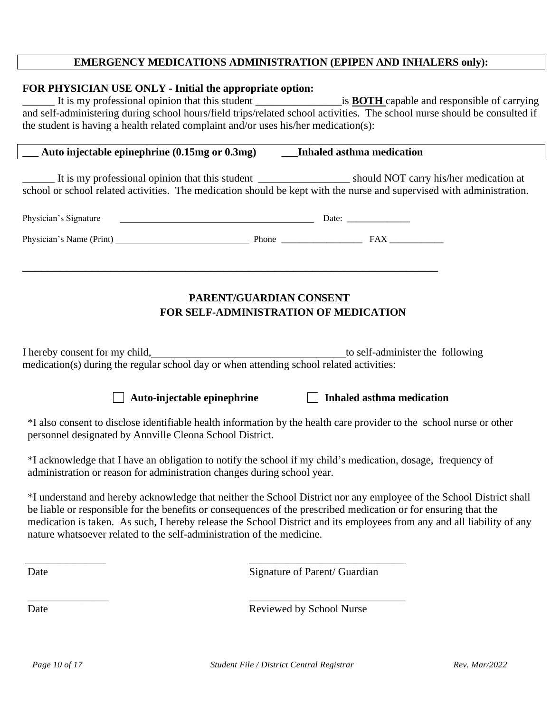# **EMERGENCY MEDICATIONS ADMINISTRATION (EPIPEN AND INHALERS only):**

### **FOR PHYSICIAN USE ONLY - Initial the appropriate option:**

\_\_\_\_\_\_ It is my professional opinion that this student \_\_\_\_\_\_\_\_\_\_\_\_\_\_\_\_is **BOTH** capable and responsible of carrying and self-administering during school hours/field trips/related school activities. The school nurse should be consulted if the student is having a health related complaint and/or uses his/her medication(s):

| Inhaled asthma medication<br>Auto injectable epinephrine $(0.15mg \text{ or } 0.3mg)$ |
|---------------------------------------------------------------------------------------|
|---------------------------------------------------------------------------------------|

\_\_\_\_\_\_ It is my professional opinion that this student \_\_\_\_\_\_\_\_\_\_\_\_\_\_\_\_\_ should NOT carry his/her medication at school or school related activities. The medication should be kept with the nurse and supervised with administration.

| Physician's Signature    |       | Date: |  |
|--------------------------|-------|-------|--|
| Physician's Name (Print) | Phone | FA X  |  |

**\_\_\_\_\_\_\_\_\_\_\_\_\_\_\_\_\_\_\_\_\_\_\_\_\_\_\_\_\_\_\_\_\_\_\_\_\_\_\_\_\_\_\_\_\_\_\_\_\_\_\_\_\_\_\_\_\_\_\_\_\_\_\_\_\_\_**

# **PARENT/GUARDIAN CONSENT FOR SELF-ADMINISTRATION OF MEDICATION**

I hereby consent for my child, the self-administer the following medication(s) during the regular school day or when attending school related activities:



\*I also consent to disclose identifiable health information by the health care provider to the school nurse or other personnel designated by Annville Cleona School District.

\*I acknowledge that I have an obligation to notify the school if my child's medication, dosage, frequency of administration or reason for administration changes during school year.

\_\_\_\_\_\_\_\_\_\_\_\_\_\_\_ \_\_\_\_\_\_\_\_\_\_\_\_\_\_\_\_\_\_\_\_\_\_\_\_\_\_\_\_\_

\_\_\_\_\_\_\_\_\_\_\_\_\_\_\_ \_\_\_\_\_\_\_\_\_\_\_\_\_\_\_\_\_\_\_\_\_\_\_\_\_\_\_\_\_

\*I understand and hereby acknowledge that neither the School District nor any employee of the School District shall be liable or responsible for the benefits or consequences of the prescribed medication or for ensuring that the medication is taken. As such, I hereby release the School District and its employees from any and all liability of any nature whatsoever related to the self-administration of the medicine.

Date Signature of Parent/ Guardian

Date Reviewed by School Nurse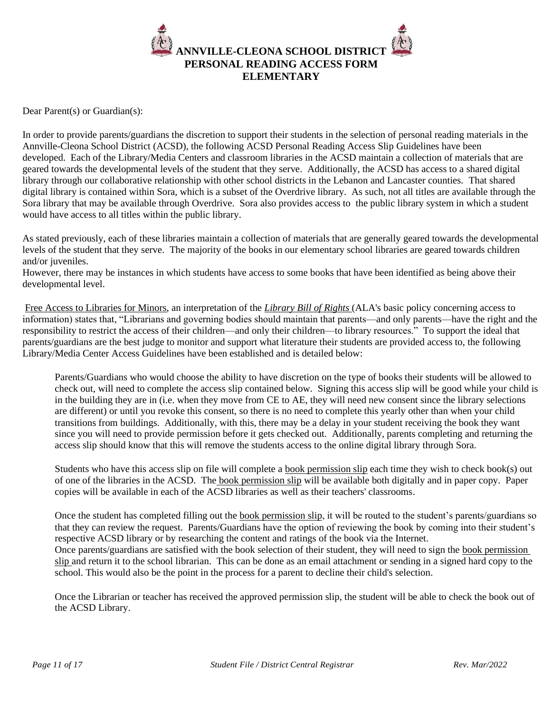

Dear Parent(s) or Guardian(s):

In order to provide parents/guardians the discretion to support their students in the selection of personal reading materials in the Annville-Cleona School District (ACSD), the following ACSD Personal Reading Access Slip Guidelines have been developed. Each of the Library/Media Centers and classroom libraries in the ACSD maintain a collection of materials that are geared towards the developmental levels of the student that they serve. Additionally, the ACSD has access to a shared digital library through our collaborative relationship with other school districts in the Lebanon and Lancaster counties. That shared digital library is contained within Sora, which is a subset of the Overdrive library. As such, not all titles are available through the Sora library that may be available through Overdrive. Sora also provides access to the public library system in which a student would have access to all titles within the public library.

As stated previously, each of these libraries maintain a collection of materials that are generally geared towards the developmental levels of the student that they serve. The majority of the books in our elementary school libraries are geared towards children and/or juveniles.

However, there may be instances in which students have access to some books that have been identified as being above their developmental level.

[Free Access to Libraries for Minors,](https://www.ala.org/advocacy/intfreedom/librarybill/interpretations/freeaccesslibraries) an interpretation of the *[Library Bill of Rights](https://www.ala.org/advocacy/intfreedom/librarybill)* (ALA's basic policy concerning access to information) states that, "Librarians and governing bodies should maintain that parents—and only parents—have the right and the responsibility to restrict the access of their children—and only their children—to library resources." To support the ideal that parents/guardians are the best judge to monitor and support what literature their students are provided access to, the following Library/Media Center Access Guidelines have been established and is detailed below:

Parents/Guardians who would choose the ability to have discretion on the type of books their students will be allowed to check out, will need to complete the access slip contained below. Signing this access slip will be good while your child is in the building they are in (i.e. when they move from CE to AE, they will need new consent since the library selections are different) or until you revoke this consent, so there is no need to complete this yearly other than when your child transitions from buildings. Additionally, with this, there may be a delay in your student receiving the book they want since you will need to provide permission before it gets checked out. Additionally, parents completing and returning the access slip should know that this will remove the students access to the online digital library through Sora.

Students who have this access slip on file will complete a <u>[book permission slip](https://docs.google.com/document/d/1eHhuXWFFCrq_Xl2RKnIJH7zRRL_o-shhPct5TT78TOI/copy)</u> each time they wish to check book(s) out of one of the libraries in the ACSD. The [book permission slip](https://docs.google.com/document/d/1eHhuXWFFCrq_Xl2RKnIJH7zRRL_o-shhPct5TT78TOI/copy) will be available both digitally and in paper copy. Paper copies will be available in each of the ACSD libraries as well as their teachers' classrooms.

Once the student has completed filling out the book [permission slip,](https://docs.google.com/document/d/1eHhuXWFFCrq_Xl2RKnIJH7zRRL_o-shhPct5TT78TOI/copy) it will be routed to the student's parents/guardians so that they can review the request. Parents/Guardians have the option of reviewing the book by coming into their student's respective ACSD library or by researching the content and ratings of the book via the Internet. Once parents/guardians are satisfied with the book selection of their student, they will need to sign the [book permission](https://docs.google.com/document/d/1eHhuXWFFCrq_Xl2RKnIJH7zRRL_o-shhPct5TT78TOI/copy)  [slip](https://docs.google.com/document/d/1eHhuXWFFCrq_Xl2RKnIJH7zRRL_o-shhPct5TT78TOI/copy) and return it to the school librarian. This can be done as an email attachment or sending in a signed hard copy to the school. This would also be the point in the process for a parent to decline their child's selection.

Once the Librarian or teacher has received the approved permission slip, the student will be able to check the book out of the ACSD Library.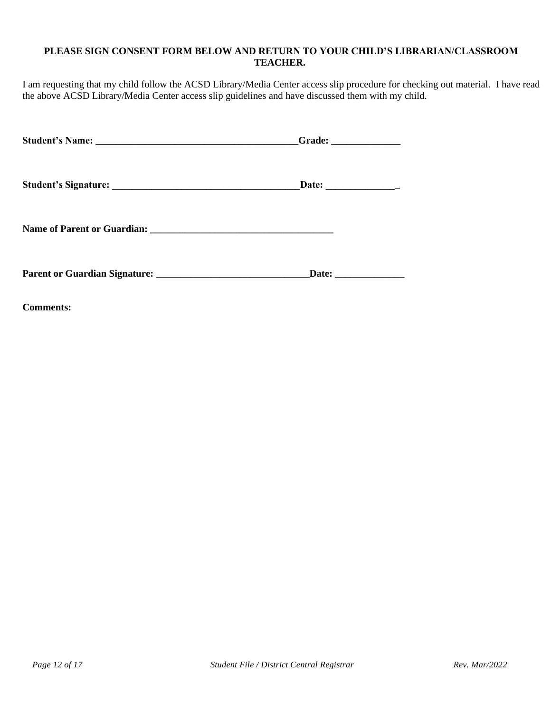## **PLEASE SIGN CONSENT FORM BELOW AND RETURN TO YOUR CHILD'S LIBRARIAN/CLASSROOM TEACHER.**

I am requesting that my child follow the ACSD Library/Media Center access slip procedure for checking out material. I have read the above ACSD Library/Media Center access slip guidelines and have discussed them with my child.

| Grade: $\qquad \qquad$ |
|------------------------|
|                        |
|                        |
|                        |

**Comments:**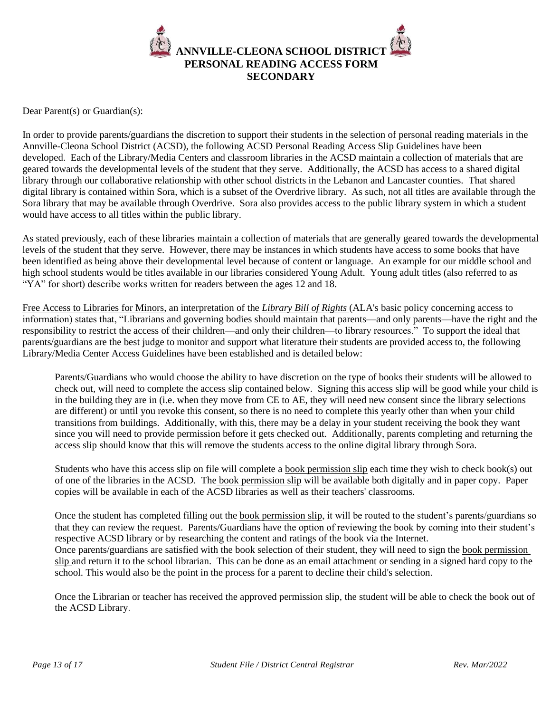

Dear Parent(s) or Guardian(s):

In order to provide parents/guardians the discretion to support their students in the selection of personal reading materials in the Annville-Cleona School District (ACSD), the following ACSD Personal Reading Access Slip Guidelines have been developed. Each of the Library/Media Centers and classroom libraries in the ACSD maintain a collection of materials that are geared towards the developmental levels of the student that they serve. Additionally, the ACSD has access to a shared digital library through our collaborative relationship with other school districts in the Lebanon and Lancaster counties. That shared digital library is contained within Sora, which is a subset of the Overdrive library. As such, not all titles are available through the Sora library that may be available through Overdrive. Sora also provides access to the public library system in which a student would have access to all titles within the public library.

As stated previously, each of these libraries maintain a collection of materials that are generally geared towards the developmental levels of the student that they serve. However, there may be instances in which students have access to some books that have been identified as being above their developmental level because of content or language. An example for our middle school and high school students would be titles available in our libraries considered Young Adult. Young adult titles (also referred to as "YA" for short) describe works written for readers between the ages 12 and 18.

[Free Access to Libraries for Minors,](https://www.ala.org/advocacy/intfreedom/librarybill/interpretations/freeaccesslibraries) an interpretation of the *[Library Bill of Rights](https://www.ala.org/advocacy/intfreedom/librarybill)* (ALA's basic policy concerning access to information) states that, "Librarians and governing bodies should maintain that parents—and only parents—have the right and the responsibility to restrict the access of their children—and only their children—to library resources." To support the ideal that parents/guardians are the best judge to monitor and support what literature their students are provided access to, the following Library/Media Center Access Guidelines have been established and is detailed below:

Parents/Guardians who would choose the ability to have discretion on the type of books their students will be allowed to check out, will need to complete the access slip contained below. Signing this access slip will be good while your child is in the building they are in (i.e. when they move from CE to AE, they will need new consent since the library selections are different) or until you revoke this consent, so there is no need to complete this yearly other than when your child transitions from buildings. Additionally, with this, there may be a delay in your student receiving the book they want since you will need to provide permission before it gets checked out. Additionally, parents completing and returning the access slip should know that this will remove the students access to the online digital library through Sora.

Students who have this access slip on file will complete a <u>book permission slip</u> each time they wish to check book(s) out of one of the libraries in the ACSD. The [book permission slip](https://docs.google.com/document/d/1eHhuXWFFCrq_Xl2RKnIJH7zRRL_o-shhPct5TT78TOI/copy) will be available both digitally and in paper copy. Paper copies will be available in each of the ACSD libraries as well as their teachers' classrooms.

Once the student has completed filling out the [book permission slip,](https://docs.google.com/document/d/1eHhuXWFFCrq_Xl2RKnIJH7zRRL_o-shhPct5TT78TOI/copy) it will be routed to the student's parents/guardians so that they can review the request. Parents/Guardians have the option of reviewing the book by coming into their student's respective ACSD library or by researching the content and ratings of the book via the Internet. Once parents/guardians are satisfied with the book selection of their student, they will need to sign th[e book permission](https://docs.google.com/document/d/1eHhuXWFFCrq_Xl2RKnIJH7zRRL_o-shhPct5TT78TOI/copy)  [slip a](https://docs.google.com/document/d/1eHhuXWFFCrq_Xl2RKnIJH7zRRL_o-shhPct5TT78TOI/copy)nd return it to the school librarian. This can be done as an email attachment or sending in a signed hard copy to the school. This would also be the point in the process for a parent to decline their child's selection.

Once the Librarian or teacher has received the approved permission slip, the student will be able to check the book out of the ACSD Library.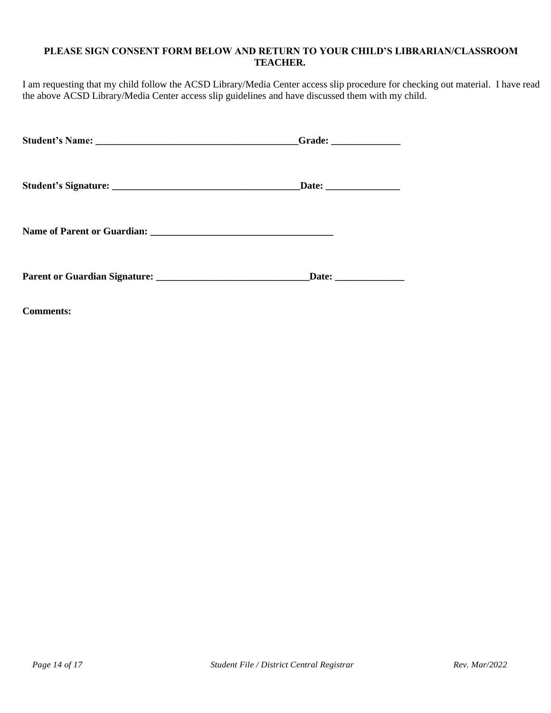## **PLEASE SIGN CONSENT FORM BELOW AND RETURN TO YOUR CHILD'S LIBRARIAN/CLASSROOM TEACHER.**

I am requesting that my child follow the ACSD Library/Media Center access slip procedure for checking out material. I have read the above ACSD Library/Media Center access slip guidelines and have discussed them with my child.

| Grade: $\qquad \qquad$ |
|------------------------|
| _Date: _______________ |
|                        |
| Date: _______________  |

**Comments:**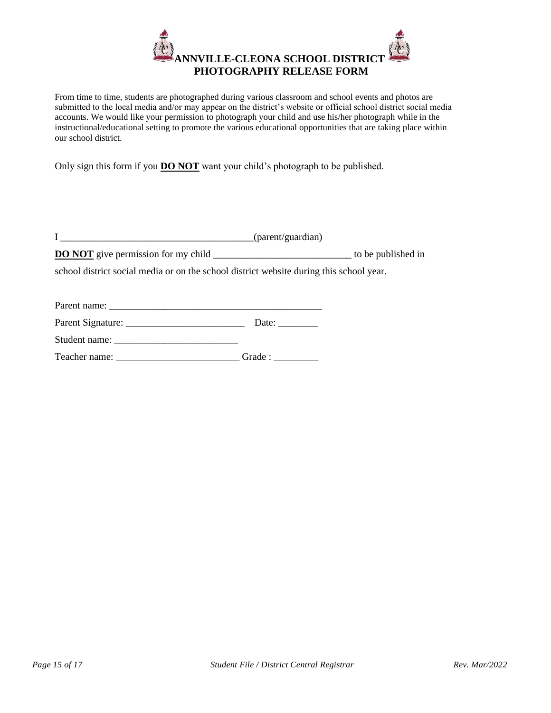

From time to time, students are photographed during various classroom and school events and photos are submitted to the local media and/or may appear on the district's website or official school district social media accounts. We would like your permission to photograph your child and use his/her photograph while in the instructional/educational setting to promote the various educational opportunities that are taking place within our school district.

Only sign this form if you **DO NOT** want your child's photograph to be published.

|  | (parent/guardian) |
|--|-------------------|
|--|-------------------|

**DO NOT** give permission for my child \_\_\_\_\_\_\_\_\_\_\_\_\_\_\_\_\_\_\_\_\_\_\_\_\_\_\_\_\_\_\_\_\_ to be published in

school district social media or on the school district website during this school year.

| Parent name:      |       |
|-------------------|-------|
| Parent Signature: | Date: |

Student name: \_\_\_\_\_\_\_\_\_\_\_\_\_\_\_\_\_\_\_\_\_\_\_\_\_

Teacher name: \_\_\_\_\_\_\_\_\_\_\_\_\_\_\_\_\_\_\_\_\_\_\_\_\_ Grade : \_\_\_\_\_\_\_\_\_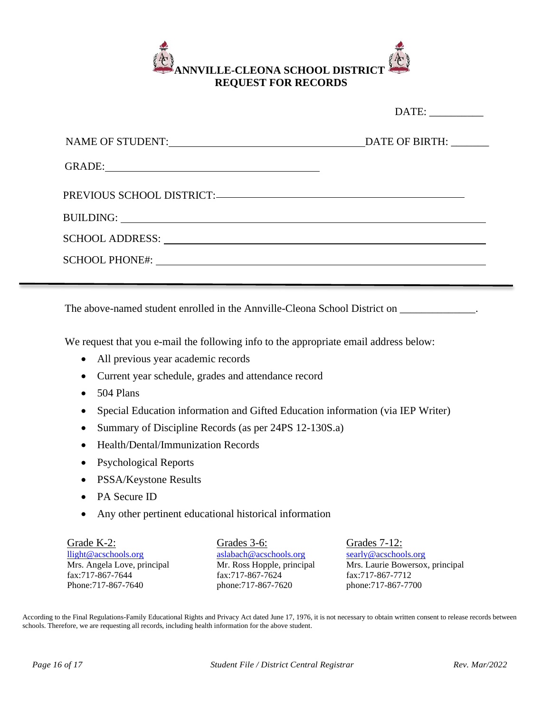

|                                                                                                              | GRADE: The contract of the contract of the contract of the contract of the contract of the contract of the contract of the contract of the contract of the contract of the contract of the contract of the contract of the con |                                                                                                                   |
|--------------------------------------------------------------------------------------------------------------|--------------------------------------------------------------------------------------------------------------------------------------------------------------------------------------------------------------------------------|-------------------------------------------------------------------------------------------------------------------|
|                                                                                                              |                                                                                                                                                                                                                                |                                                                                                                   |
|                                                                                                              |                                                                                                                                                                                                                                |                                                                                                                   |
|                                                                                                              |                                                                                                                                                                                                                                |                                                                                                                   |
|                                                                                                              |                                                                                                                                                                                                                                |                                                                                                                   |
|                                                                                                              |                                                                                                                                                                                                                                |                                                                                                                   |
|                                                                                                              |                                                                                                                                                                                                                                | The above-named student enrolled in the Annville-Cleona School District on _____________.                         |
|                                                                                                              | We request that you e-mail the following info to the appropriate email address below:                                                                                                                                          |                                                                                                                   |
| All previous year academic records<br>$\bullet$                                                              |                                                                                                                                                                                                                                |                                                                                                                   |
| $\bullet$                                                                                                    | Current year schedule, grades and attendance record                                                                                                                                                                            |                                                                                                                   |
| 504 Plans                                                                                                    |                                                                                                                                                                                                                                |                                                                                                                   |
|                                                                                                              | Special Education information and Gifted Education information (via IEP Writer)                                                                                                                                                |                                                                                                                   |
| $\bullet$                                                                                                    | Summary of Discipline Records (as per 24PS 12-130S.a)                                                                                                                                                                          |                                                                                                                   |
| Health/Dental/Immunization Records<br>$\bullet$                                                              |                                                                                                                                                                                                                                |                                                                                                                   |
| <b>Psychological Reports</b><br>$\bullet$                                                                    |                                                                                                                                                                                                                                |                                                                                                                   |
| PSSA/Keystone Results                                                                                        |                                                                                                                                                                                                                                |                                                                                                                   |
| PA Secure ID                                                                                                 |                                                                                                                                                                                                                                |                                                                                                                   |
|                                                                                                              | Any other pertinent educational historical information                                                                                                                                                                         |                                                                                                                   |
| Grade K-2:<br>llight@acschools.org<br>Mrs. Angela Love, principal<br>fax:717-867-7644<br>Phone: 717-867-7640 | Grades 3-6:<br>aslabach@acschools.org<br>Mr. Ross Hopple, principal<br>fax:717-867-7624<br>phone:717-867-7620                                                                                                                  | Grades 7-12:<br>searly@acschools.org<br>Mrs. Laurie Bowersox, principal<br>fax:717-867-7712<br>phone:717-867-7700 |

According to the Final Regulations-Family Educational Rights and Privacy Act dated June 17, 1976, it is not necessary to obtain written consent to release records between schools. Therefore, we are requesting all records, including health information for the above student.